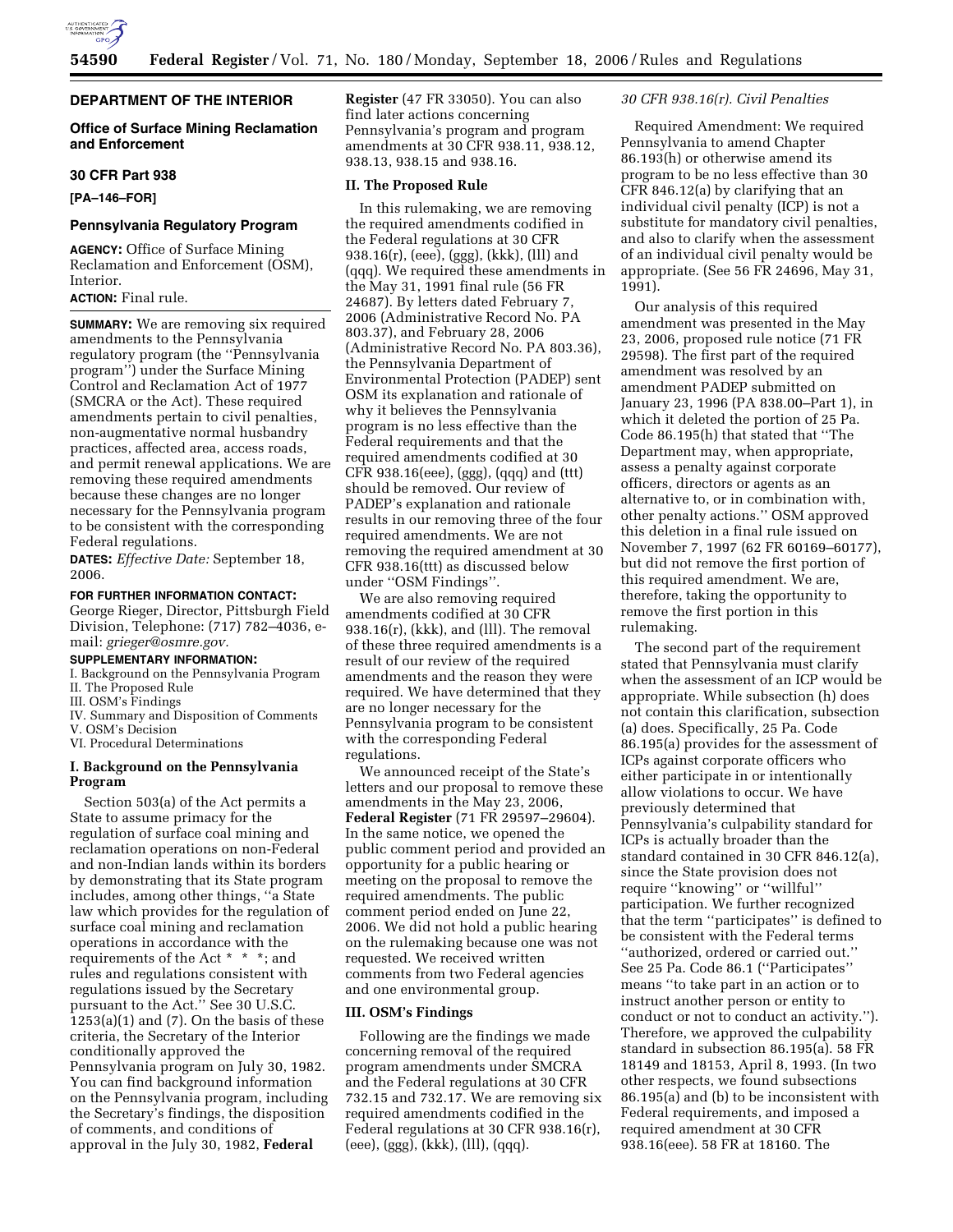

## **DEPARTMENT OF THE INTERIOR**

### **Office of Surface Mining Reclamation and Enforcement**

#### **30 CFR Part 938**

**[PA–146–FOR]** 

### **Pennsylvania Regulatory Program**

**AGENCY:** Office of Surface Mining Reclamation and Enforcement (OSM), Interior.

#### **ACTION:** Final rule.

**SUMMARY:** We are removing six required amendments to the Pennsylvania regulatory program (the ''Pennsylvania program'') under the Surface Mining Control and Reclamation Act of 1977 (SMCRA or the Act). These required amendments pertain to civil penalties, non-augmentative normal husbandry practices, affected area, access roads, and permit renewal applications. We are removing these required amendments because these changes are no longer necessary for the Pennsylvania program to be consistent with the corresponding Federal regulations.

**DATES:** *Effective Date:* September 18, 2006.

#### **FOR FURTHER INFORMATION CONTACT:**

George Rieger, Director, Pittsburgh Field Division, Telephone: (717) 782–4036, email: *grieger@osmre.gov.* 

# **SUPPLEMENTARY INFORMATION:**

I. Background on the Pennsylvania Program II. The Proposed Rule

- III. OSM's Findings
- IV. Summary and Disposition of Comments
- V. OSM's Decision

VI. Procedural Determinations

## **I. Background on the Pennsylvania Program**

Section 503(a) of the Act permits a State to assume primacy for the regulation of surface coal mining and reclamation operations on non-Federal and non-Indian lands within its borders by demonstrating that its State program includes, among other things, ''a State law which provides for the regulation of surface coal mining and reclamation operations in accordance with the requirements of the Act \* \* \*; and rules and regulations consistent with regulations issued by the Secretary pursuant to the Act.'' See 30 U.S.C.  $1253(a)(1)$  and  $(7)$ . On the basis of these criteria, the Secretary of the Interior conditionally approved the Pennsylvania program on July 30, 1982. You can find background information on the Pennsylvania program, including the Secretary's findings, the disposition of comments, and conditions of approval in the July 30, 1982, **Federal** 

**Register** (47 FR 33050). You can also find later actions concerning Pennsylvania's program and program amendments at 30 CFR 938.11, 938.12, 938.13, 938.15 and 938.16.

### **II. The Proposed Rule**

In this rulemaking, we are removing the required amendments codified in the Federal regulations at 30 CFR 938.16(r), (eee), (ggg), (kkk), (lll) and (qqq). We required these amendments in the May 31, 1991 final rule (56 FR 24687). By letters dated February 7, 2006 (Administrative Record No. PA 803.37), and February 28, 2006 (Administrative Record No. PA 803.36), the Pennsylvania Department of Environmental Protection (PADEP) sent OSM its explanation and rationale of why it believes the Pennsylvania program is no less effective than the Federal requirements and that the required amendments codified at 30 CFR 938.16(eee), (ggg), (qqq) and (ttt) should be removed. Our review of PADEP's explanation and rationale results in our removing three of the four required amendments. We are not removing the required amendment at 30 CFR 938.16(ttt) as discussed below under ''OSM Findings''.

We are also removing required amendments codified at 30 CFR 938.16(r), (kkk), and (lll). The removal of these three required amendments is a result of our review of the required amendments and the reason they were required. We have determined that they are no longer necessary for the Pennsylvania program to be consistent with the corresponding Federal regulations.

We announced receipt of the State's letters and our proposal to remove these amendments in the May 23, 2006, **Federal Register** (71 FR 29597–29604). In the same notice, we opened the public comment period and provided an opportunity for a public hearing or meeting on the proposal to remove the required amendments. The public comment period ended on June 22, 2006. We did not hold a public hearing on the rulemaking because one was not requested. We received written comments from two Federal agencies and one environmental group.

#### **III. OSM's Findings**

Following are the findings we made concerning removal of the required program amendments under SMCRA and the Federal regulations at 30 CFR 732.15 and 732.17. We are removing six required amendments codified in the Federal regulations at 30 CFR 938.16(r), (eee), (ggg), (kkk), (lll), (qqq).

### *30 CFR 938.16(r). Civil Penalties*

Required Amendment: We required Pennsylvania to amend Chapter 86.193(h) or otherwise amend its program to be no less effective than 30 CFR 846.12(a) by clarifying that an individual civil penalty (ICP) is not a substitute for mandatory civil penalties, and also to clarify when the assessment of an individual civil penalty would be appropriate. (See 56 FR 24696, May 31, 1991).

Our analysis of this required amendment was presented in the May 23, 2006, proposed rule notice (71 FR 29598). The first part of the required amendment was resolved by an amendment PADEP submitted on January 23, 1996 (PA 838.00–Part 1), in which it deleted the portion of 25 Pa. Code 86.195(h) that stated that ''The Department may, when appropriate, assess a penalty against corporate officers, directors or agents as an alternative to, or in combination with, other penalty actions.'' OSM approved this deletion in a final rule issued on November 7, 1997 (62 FR 60169–60177), but did not remove the first portion of this required amendment. We are, therefore, taking the opportunity to remove the first portion in this rulemaking.

The second part of the requirement stated that Pennsylvania must clarify when the assessment of an ICP would be appropriate. While subsection (h) does not contain this clarification, subsection (a) does. Specifically, 25 Pa. Code 86.195(a) provides for the assessment of ICPs against corporate officers who either participate in or intentionally allow violations to occur. We have previously determined that Pennsylvania's culpability standard for ICPs is actually broader than the standard contained in 30 CFR 846.12(a), since the State provision does not require ''knowing'' or ''willful'' participation. We further recognized that the term ''participates'' is defined to be consistent with the Federal terms ''authorized, ordered or carried out.'' See 25 Pa. Code 86.1 (''Participates'' means ''to take part in an action or to instruct another person or entity to conduct or not to conduct an activity.''). Therefore, we approved the culpability standard in subsection 86.195(a). 58 FR 18149 and 18153, April 8, 1993. (In two other respects, we found subsections 86.195(a) and (b) to be inconsistent with Federal requirements, and imposed a required amendment at 30 CFR 938.16(eee). 58 FR at 18160. The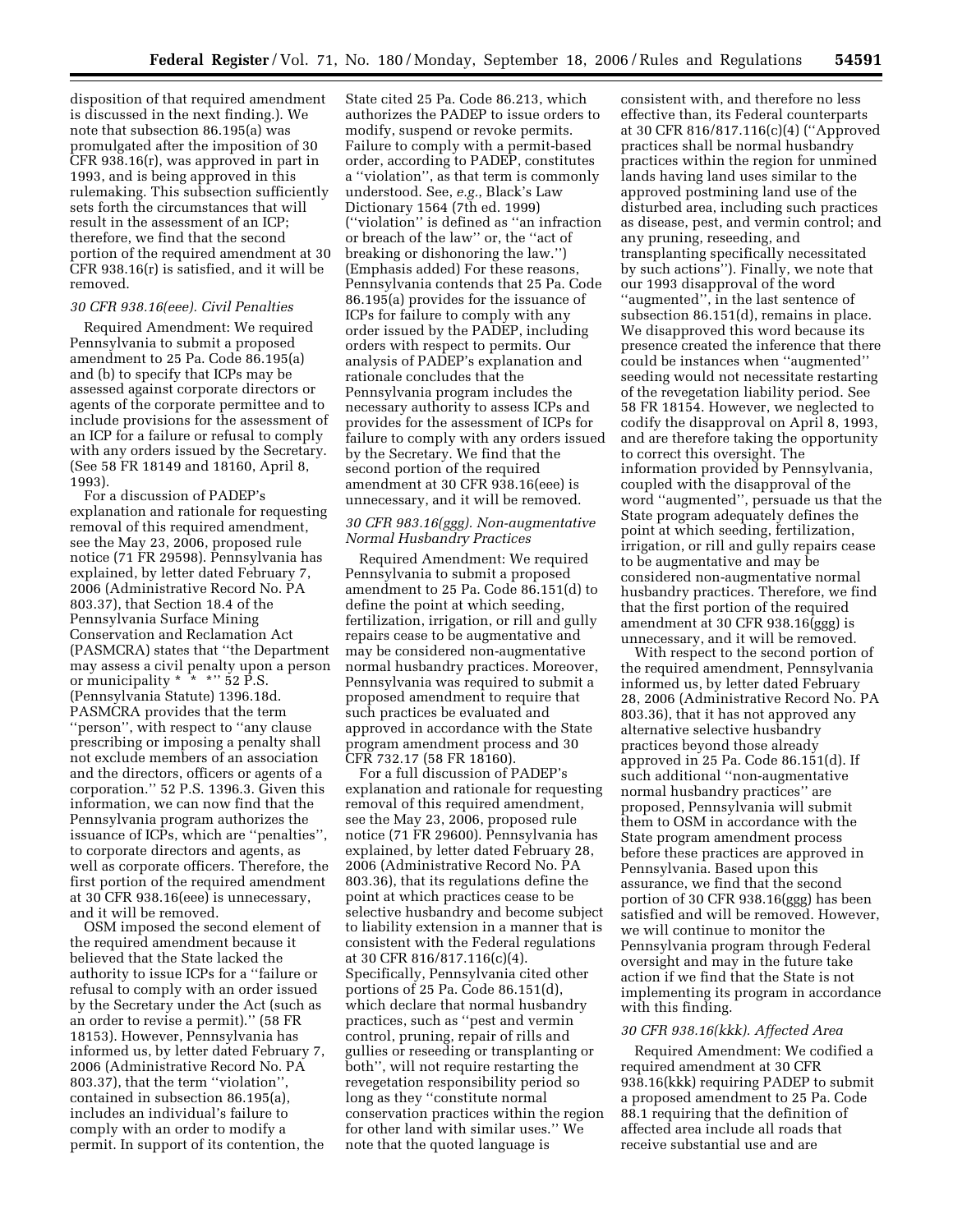disposition of that required amendment is discussed in the next finding.). We note that subsection 86.195(a) was promulgated after the imposition of 30 CFR 938.16(r), was approved in part in 1993, and is being approved in this rulemaking. This subsection sufficiently sets forth the circumstances that will result in the assessment of an ICP; therefore, we find that the second portion of the required amendment at 30 CFR 938.16(r) is satisfied, and it will be removed.

#### *30 CFR 938.16(eee). Civil Penalties*

Required Amendment: We required Pennsylvania to submit a proposed amendment to 25 Pa. Code 86.195(a) and (b) to specify that ICPs may be assessed against corporate directors or agents of the corporate permittee and to include provisions for the assessment of an ICP for a failure or refusal to comply with any orders issued by the Secretary. (See 58 FR 18149 and 18160, April 8, 1993).

For a discussion of PADEP's explanation and rationale for requesting removal of this required amendment, see the May 23, 2006, proposed rule notice (71 FR 29598). Pennsylvania has explained, by letter dated February 7, 2006 (Administrative Record No. PA 803.37), that Section 18.4 of the Pennsylvania Surface Mining Conservation and Reclamation Act (PASMCRA) states that ''the Department may assess a civil penalty upon a person or municipality  $* * * " 52 P.S.$ (Pennsylvania Statute) 1396.18d. PASMCRA provides that the term ''person'', with respect to ''any clause prescribing or imposing a penalty shall not exclude members of an association and the directors, officers or agents of a corporation.'' 52 P.S. 1396.3. Given this information, we can now find that the Pennsylvania program authorizes the issuance of ICPs, which are ''penalties'', to corporate directors and agents, as well as corporate officers. Therefore, the first portion of the required amendment at 30 CFR 938.16(eee) is unnecessary, and it will be removed.

OSM imposed the second element of the required amendment because it believed that the State lacked the authority to issue ICPs for a ''failure or refusal to comply with an order issued by the Secretary under the Act (such as an order to revise a permit).'' (58 FR 18153). However, Pennsylvania has informed us, by letter dated February 7, 2006 (Administrative Record No. PA 803.37), that the term ''violation'', contained in subsection 86.195(a), includes an individual's failure to comply with an order to modify a permit. In support of its contention, the

State cited 25 Pa. Code 86.213, which authorizes the PADEP to issue orders to modify, suspend or revoke permits. Failure to comply with a permit-based order, according to PADEP, constitutes a ''violation'', as that term is commonly understood. See, *e.g.*, Black's Law Dictionary 1564 (7th ed. 1999) (''violation'' is defined as ''an infraction or breach of the law'' or, the ''act of breaking or dishonoring the law.'') (Emphasis added) For these reasons, Pennsylvania contends that 25 Pa. Code 86.195(a) provides for the issuance of ICPs for failure to comply with any order issued by the PADEP, including orders with respect to permits. Our analysis of PADEP's explanation and rationale concludes that the Pennsylvania program includes the necessary authority to assess ICPs and provides for the assessment of ICPs for failure to comply with any orders issued by the Secretary. We find that the second portion of the required amendment at 30 CFR 938.16(eee) is unnecessary, and it will be removed.

### *30 CFR 983.16(ggg). Non-augmentative Normal Husbandry Practices*

Required Amendment: We required Pennsylvania to submit a proposed amendment to 25 Pa. Code 86.151(d) to define the point at which seeding, fertilization, irrigation, or rill and gully repairs cease to be augmentative and may be considered non-augmentative normal husbandry practices. Moreover, Pennsylvania was required to submit a proposed amendment to require that such practices be evaluated and approved in accordance with the State program amendment process and 30 CFR 732.17 (58 FR 18160).

For a full discussion of PADEP's explanation and rationale for requesting removal of this required amendment, see the May 23, 2006, proposed rule notice (71 FR 29600). Pennsylvania has explained, by letter dated February 28, 2006 (Administrative Record No. PA 803.36), that its regulations define the point at which practices cease to be selective husbandry and become subject to liability extension in a manner that is consistent with the Federal regulations at 30 CFR 816/817.116(c)(4). Specifically, Pennsylvania cited other portions of 25 Pa. Code 86.151(d), which declare that normal husbandry practices, such as ''pest and vermin control, pruning, repair of rills and gullies or reseeding or transplanting or both'', will not require restarting the revegetation responsibility period so long as they ''constitute normal conservation practices within the region for other land with similar uses.'' We note that the quoted language is

consistent with, and therefore no less effective than, its Federal counterparts at 30 CFR 816/817.116(c)(4) (''Approved practices shall be normal husbandry practices within the region for unmined lands having land uses similar to the approved postmining land use of the disturbed area, including such practices as disease, pest, and vermin control; and any pruning, reseeding, and transplanting specifically necessitated by such actions''). Finally, we note that our 1993 disapproval of the word ''augmented'', in the last sentence of subsection 86.151(d), remains in place. We disapproved this word because its presence created the inference that there could be instances when ''augmented'' seeding would not necessitate restarting of the revegetation liability period. See 58 FR 18154. However, we neglected to codify the disapproval on April 8, 1993, and are therefore taking the opportunity to correct this oversight. The information provided by Pennsylvania, coupled with the disapproval of the word ''augmented'', persuade us that the State program adequately defines the point at which seeding, fertilization, irrigation, or rill and gully repairs cease to be augmentative and may be considered non-augmentative normal husbandry practices. Therefore, we find that the first portion of the required amendment at 30 CFR 938.16(ggg) is unnecessary, and it will be removed.

With respect to the second portion of the required amendment, Pennsylvania informed us, by letter dated February 28, 2006 (Administrative Record No. PA 803.36), that it has not approved any alternative selective husbandry practices beyond those already approved in 25 Pa. Code 86.151(d). If such additional ''non-augmentative normal husbandry practices'' are proposed, Pennsylvania will submit them to OSM in accordance with the State program amendment process before these practices are approved in Pennsylvania. Based upon this assurance, we find that the second portion of 30 CFR 938.16(ggg) has been satisfied and will be removed. However, we will continue to monitor the Pennsylvania program through Federal oversight and may in the future take action if we find that the State is not implementing its program in accordance with this finding.

### *30 CFR 938.16(kkk). Affected Area*

Required Amendment: We codified a required amendment at 30 CFR 938.16(kkk) requiring PADEP to submit a proposed amendment to 25 Pa. Code 88.1 requiring that the definition of affected area include all roads that receive substantial use and are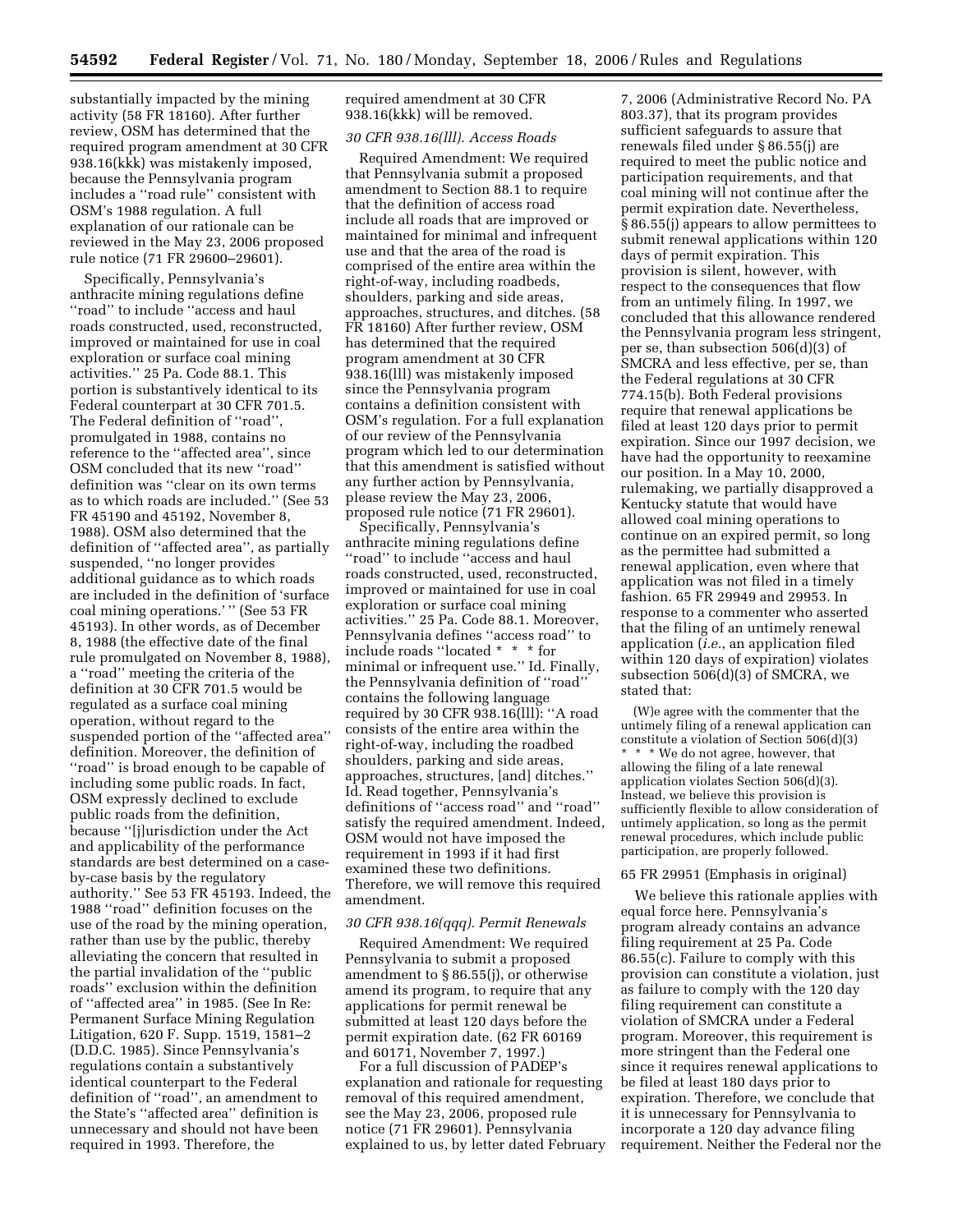substantially impacted by the mining activity (58 FR 18160). After further review, OSM has determined that the required program amendment at 30 CFR 938.16(kkk) was mistakenly imposed, because the Pennsylvania program includes a ''road rule'' consistent with OSM's 1988 regulation. A full explanation of our rationale can be reviewed in the May 23, 2006 proposed rule notice (71 FR 29600–29601).

Specifically, Pennsylvania's anthracite mining regulations define ''road'' to include ''access and haul roads constructed, used, reconstructed, improved or maintained for use in coal exploration or surface coal mining activities.'' 25 Pa. Code 88.1. This portion is substantively identical to its Federal counterpart at 30 CFR 701.5. The Federal definition of ''road'', promulgated in 1988, contains no reference to the ''affected area'', since OSM concluded that its new ''road'' definition was ''clear on its own terms as to which roads are included.'' (See 53 FR 45190 and 45192, November 8, 1988). OSM also determined that the definition of ''affected area'', as partially suspended, ''no longer provides additional guidance as to which roads are included in the definition of 'surface coal mining operations.' '' (See 53 FR 45193). In other words, as of December 8, 1988 (the effective date of the final rule promulgated on November 8, 1988), a ''road'' meeting the criteria of the definition at 30 CFR 701.5 would be regulated as a surface coal mining operation, without regard to the suspended portion of the ''affected area'' definition. Moreover, the definition of ''road'' is broad enough to be capable of including some public roads. In fact, OSM expressly declined to exclude public roads from the definition, because ''[j]urisdiction under the Act and applicability of the performance standards are best determined on a caseby-case basis by the regulatory authority.'' See 53 FR 45193. Indeed, the 1988 ''road'' definition focuses on the use of the road by the mining operation, rather than use by the public, thereby alleviating the concern that resulted in the partial invalidation of the ''public roads'' exclusion within the definition of ''affected area'' in 1985. (See In Re: Permanent Surface Mining Regulation Litigation, 620 F. Supp. 1519, 1581–2 (D.D.C. 1985). Since Pennsylvania's regulations contain a substantively identical counterpart to the Federal definition of ''road'', an amendment to the State's ''affected area'' definition is unnecessary and should not have been required in 1993. Therefore, the

required amendment at 30 CFR 938.16(kkk) will be removed.

## *30 CFR 938.16(lll). Access Roads*

Required Amendment: We required that Pennsylvania submit a proposed amendment to Section 88.1 to require that the definition of access road include all roads that are improved or maintained for minimal and infrequent use and that the area of the road is comprised of the entire area within the right-of-way, including roadbeds, shoulders, parking and side areas, approaches, structures, and ditches. (58 FR 18160) After further review, OSM has determined that the required program amendment at 30 CFR 938.16(lll) was mistakenly imposed since the Pennsylvania program contains a definition consistent with OSM's regulation. For a full explanation of our review of the Pennsylvania program which led to our determination that this amendment is satisfied without any further action by Pennsylvania, please review the May 23, 2006, proposed rule notice (71 FR 29601).

Specifically, Pennsylvania's anthracite mining regulations define ''road'' to include ''access and haul roads constructed, used, reconstructed, improved or maintained for use in coal exploration or surface coal mining activities.'' 25 Pa. Code 88.1. Moreover, Pennsylvania defines ''access road'' to include roads ''located \* \* \* for minimal or infrequent use.'' Id. Finally, the Pennsylvania definition of ''road'' contains the following language required by 30 CFR 938.16(lll): ''A road consists of the entire area within the right-of-way, including the roadbed shoulders, parking and side areas, approaches, structures, [and] ditches.'' Id. Read together, Pennsylvania's definitions of ''access road'' and ''road'' satisfy the required amendment. Indeed, OSM would not have imposed the requirement in 1993 if it had first examined these two definitions. Therefore, we will remove this required amendment.

#### *30 CFR 938.16(qqq). Permit Renewals*

Required Amendment: We required Pennsylvania to submit a proposed amendment to § 86.55(j), or otherwise amend its program, to require that any applications for permit renewal be submitted at least 120 days before the permit expiration date. (62 FR 60169 and 60171, November 7, 1997.)

For a full discussion of PADEP's explanation and rationale for requesting removal of this required amendment, see the May 23, 2006, proposed rule notice (71 FR 29601). Pennsylvania explained to us, by letter dated February

7, 2006 (Administrative Record No. PA 803.37), that its program provides sufficient safeguards to assure that renewals filed under § 86.55(j) are required to meet the public notice and participation requirements, and that coal mining will not continue after the permit expiration date. Nevertheless, § 86.55(j) appears to allow permittees to submit renewal applications within 120 days of permit expiration. This provision is silent, however, with respect to the consequences that flow from an untimely filing. In 1997, we concluded that this allowance rendered the Pennsylvania program less stringent, per se, than subsection 506(d)(3) of SMCRA and less effective, per se, than the Federal regulations at 30 CFR 774.15(b). Both Federal provisions require that renewal applications be filed at least 120 days prior to permit expiration. Since our 1997 decision, we have had the opportunity to reexamine our position. In a May 10, 2000, rulemaking, we partially disapproved a Kentucky statute that would have allowed coal mining operations to continue on an expired permit, so long as the permittee had submitted a renewal application, even where that application was not filed in a timely fashion. 65 FR 29949 and 29953. In response to a commenter who asserted that the filing of an untimely renewal application (*i.e.*, an application filed within 120 days of expiration) violates subsection 506(d)(3) of SMCRA, we stated that:

(W)e agree with the commenter that the untimely filing of a renewal application can constitute a violation of Section 506(d)(3) \* \* \* We do not agree, however, that allowing the filing of a late renewal application violates Section 506(d)(3). Instead, we believe this provision is sufficiently flexible to allow consideration of untimely application, so long as the permit renewal procedures, which include public participation, are properly followed.

### 65 FR 29951 (Emphasis in original)

We believe this rationale applies with equal force here. Pennsylvania's program already contains an advance filing requirement at 25 Pa. Code 86.55(c). Failure to comply with this provision can constitute a violation, just as failure to comply with the 120 day filing requirement can constitute a violation of SMCRA under a Federal program. Moreover, this requirement is more stringent than the Federal one since it requires renewal applications to be filed at least 180 days prior to expiration. Therefore, we conclude that it is unnecessary for Pennsylvania to incorporate a 120 day advance filing requirement. Neither the Federal nor the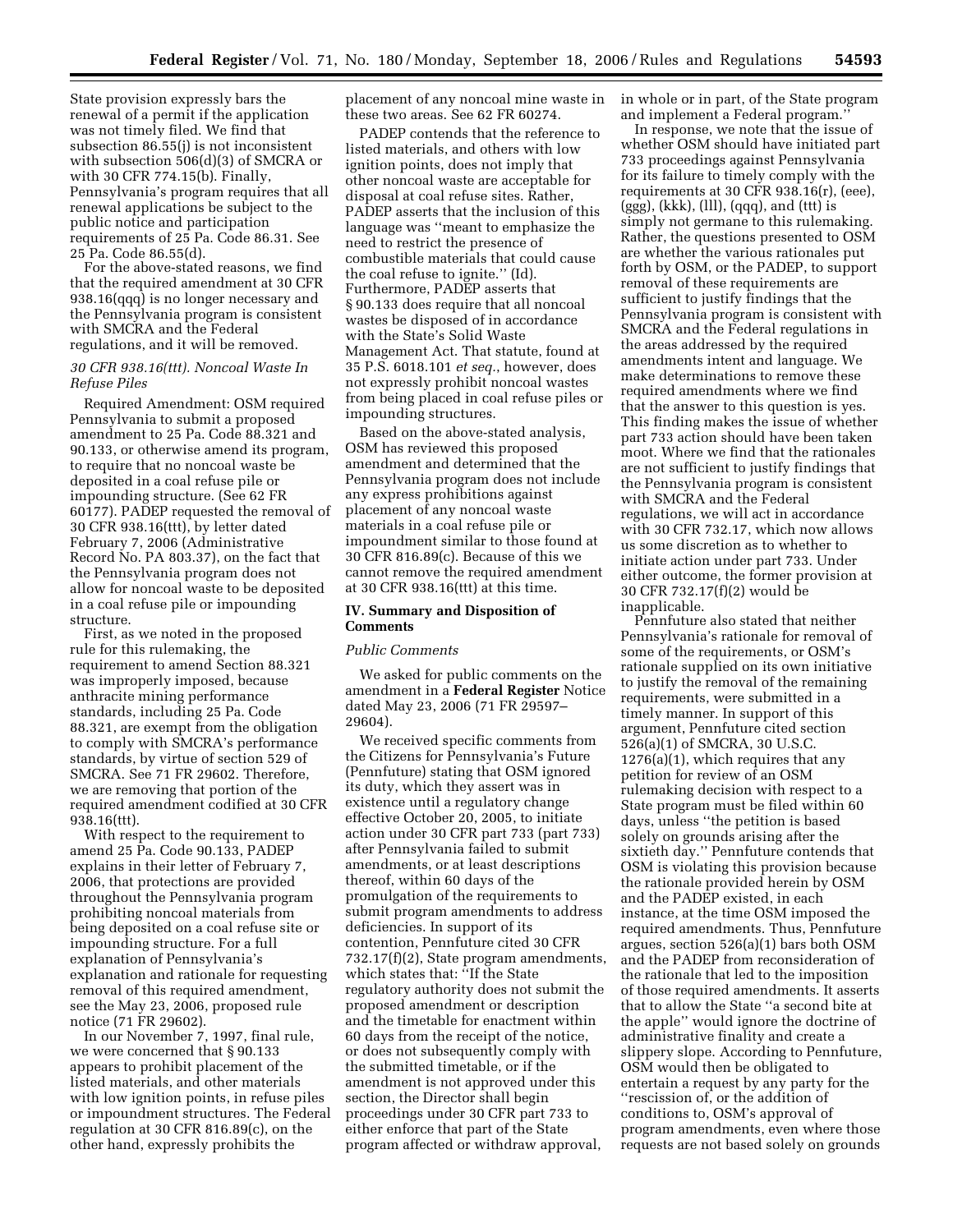State provision expressly bars the renewal of a permit if the application was not timely filed. We find that subsection 86.55(j) is not inconsistent with subsection 506(d)(3) of SMCRA or with 30 CFR 774.15(b). Finally, Pennsylvania's program requires that all renewal applications be subject to the public notice and participation requirements of 25 Pa. Code 86.31. See 25 Pa. Code 86.55(d).

For the above-stated reasons, we find that the required amendment at 30 CFR 938.16(qqq) is no longer necessary and the Pennsylvania program is consistent with SMCRA and the Federal regulations, and it will be removed.

### *30 CFR 938.16(ttt). Noncoal Waste In Refuse Piles*

Required Amendment: OSM required Pennsylvania to submit a proposed amendment to 25 Pa. Code 88.321 and 90.133, or otherwise amend its program, to require that no noncoal waste be deposited in a coal refuse pile or impounding structure. (See 62 FR 60177). PADEP requested the removal of 30 CFR 938.16(ttt), by letter dated February 7, 2006 (Administrative Record No. PA 803.37), on the fact that the Pennsylvania program does not allow for noncoal waste to be deposited in a coal refuse pile or impounding structure.

First, as we noted in the proposed rule for this rulemaking, the requirement to amend Section 88.321 was improperly imposed, because anthracite mining performance standards, including 25 Pa. Code 88.321, are exempt from the obligation to comply with SMCRA's performance standards, by virtue of section 529 of SMCRA. See 71 FR 29602. Therefore, we are removing that portion of the required amendment codified at 30 CFR 938.16(ttt).

With respect to the requirement to amend 25 Pa. Code 90.133, PADEP explains in their letter of February 7, 2006, that protections are provided throughout the Pennsylvania program prohibiting noncoal materials from being deposited on a coal refuse site or impounding structure. For a full explanation of Pennsylvania's explanation and rationale for requesting removal of this required amendment, see the May 23, 2006, proposed rule notice (71 FR 29602).

In our November 7, 1997, final rule, we were concerned that § 90.133 appears to prohibit placement of the listed materials, and other materials with low ignition points, in refuse piles or impoundment structures. The Federal regulation at 30 CFR 816.89(c), on the other hand, expressly prohibits the

placement of any noncoal mine waste in these two areas. See 62 FR 60274.

PADEP contends that the reference to listed materials, and others with low ignition points, does not imply that other noncoal waste are acceptable for disposal at coal refuse sites. Rather, PADEP asserts that the inclusion of this language was ''meant to emphasize the need to restrict the presence of combustible materials that could cause the coal refuse to ignite.'' (Id). Furthermore, PADEP asserts that § 90.133 does require that all noncoal wastes be disposed of in accordance with the State's Solid Waste Management Act. That statute, found at 35 P.S. 6018.101 *et seq.*, however, does not expressly prohibit noncoal wastes from being placed in coal refuse piles or impounding structures.

Based on the above-stated analysis, OSM has reviewed this proposed amendment and determined that the Pennsylvania program does not include any express prohibitions against placement of any noncoal waste materials in a coal refuse pile or impoundment similar to those found at 30 CFR 816.89(c). Because of this we cannot remove the required amendment at 30 CFR 938.16(ttt) at this time.

### **IV. Summary and Disposition of Comments**

### *Public Comments*

We asked for public comments on the amendment in a **Federal Register** Notice dated May 23, 2006 (71 FR 29597– 29604).

We received specific comments from the Citizens for Pennsylvania's Future (Pennfuture) stating that OSM ignored its duty, which they assert was in existence until a regulatory change effective October 20, 2005, to initiate action under 30 CFR part 733 (part 733) after Pennsylvania failed to submit amendments, or at least descriptions thereof, within 60 days of the promulgation of the requirements to submit program amendments to address deficiencies. In support of its contention, Pennfuture cited 30 CFR 732.17(f)(2), State program amendments, which states that: ''If the State regulatory authority does not submit the proposed amendment or description and the timetable for enactment within 60 days from the receipt of the notice, or does not subsequently comply with the submitted timetable, or if the amendment is not approved under this section, the Director shall begin proceedings under 30 CFR part 733 to either enforce that part of the State program affected or withdraw approval,

in whole or in part, of the State program and implement a Federal program.''

In response, we note that the issue of whether OSM should have initiated part 733 proceedings against Pennsylvania for its failure to timely comply with the requirements at 30 CFR 938.16(r), (eee),  $(ggg), (kkk), (lll), (qqq), and (ttt) is$ simply not germane to this rulemaking. Rather, the questions presented to OSM are whether the various rationales put forth by OSM, or the PADEP, to support removal of these requirements are sufficient to justify findings that the Pennsylvania program is consistent with SMCRA and the Federal regulations in the areas addressed by the required amendments intent and language. We make determinations to remove these required amendments where we find that the answer to this question is yes. This finding makes the issue of whether part 733 action should have been taken moot. Where we find that the rationales are not sufficient to justify findings that the Pennsylvania program is consistent with SMCRA and the Federal regulations, we will act in accordance with 30 CFR 732.17, which now allows us some discretion as to whether to initiate action under part 733. Under either outcome, the former provision at 30 CFR 732.17(f)(2) would be inapplicable.

Pennfuture also stated that neither Pennsylvania's rationale for removal of some of the requirements, or OSM's rationale supplied on its own initiative to justify the removal of the remaining requirements, were submitted in a timely manner. In support of this argument, Pennfuture cited section 526(a)(1) of SMCRA, 30 U.S.C. 1276(a)(1), which requires that any petition for review of an OSM rulemaking decision with respect to a State program must be filed within 60 days, unless ''the petition is based solely on grounds arising after the sixtieth day.'' Pennfuture contends that OSM is violating this provision because the rationale provided herein by OSM and the PADEP existed, in each instance, at the time OSM imposed the required amendments. Thus, Pennfuture argues, section 526(a)(1) bars both OSM and the PADEP from reconsideration of the rationale that led to the imposition of those required amendments. It asserts that to allow the State ''a second bite at the apple'' would ignore the doctrine of administrative finality and create a slippery slope. According to Pennfuture, OSM would then be obligated to entertain a request by any party for the ''rescission of, or the addition of conditions to, OSM's approval of program amendments, even where those requests are not based solely on grounds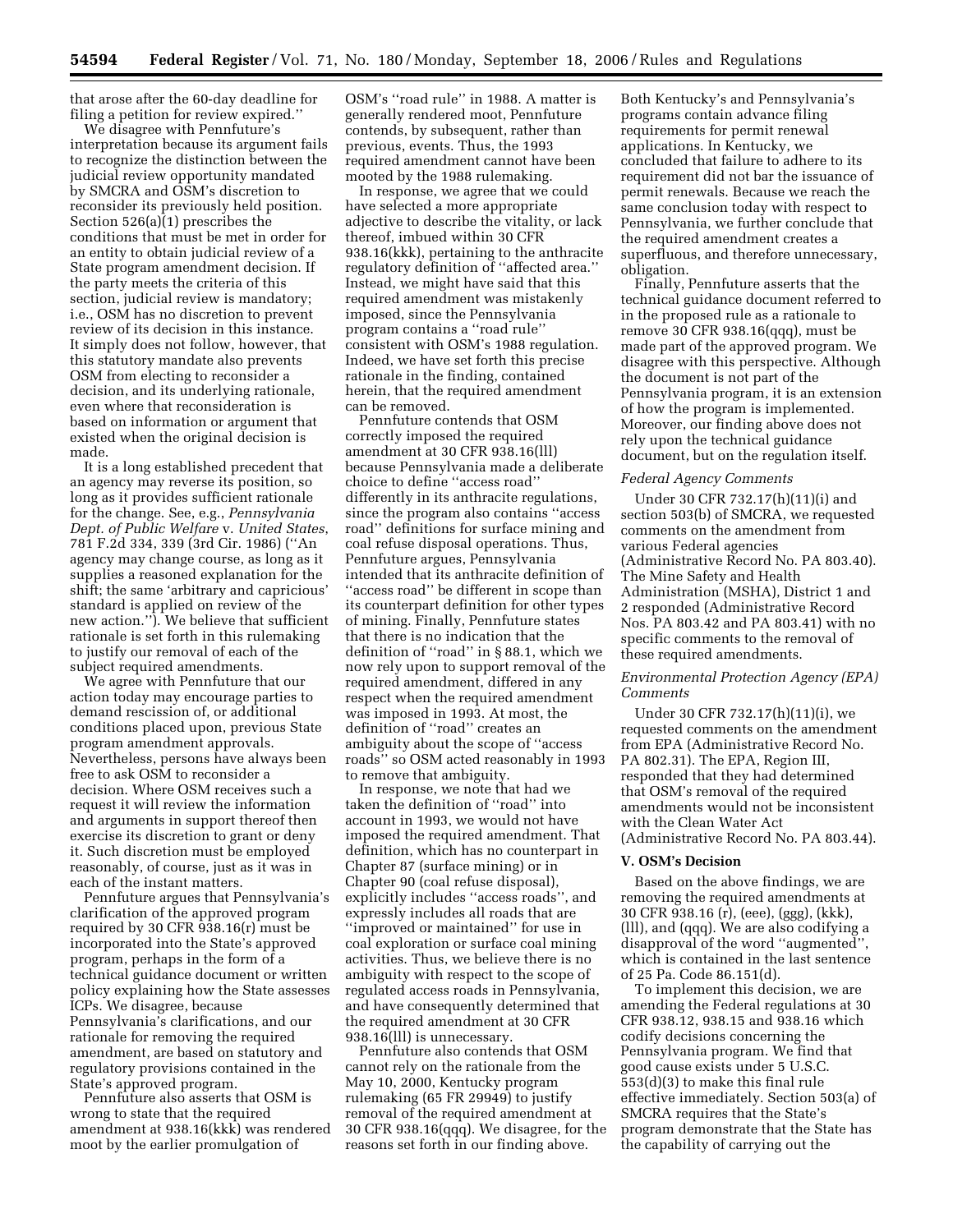that arose after the 60-day deadline for filing a petition for review expired.''

We disagree with Pennfuture's interpretation because its argument fails to recognize the distinction between the judicial review opportunity mandated by SMCRA and OSM's discretion to reconsider its previously held position. Section 526(a)(1) prescribes the conditions that must be met in order for an entity to obtain judicial review of a State program amendment decision. If the party meets the criteria of this section, judicial review is mandatory; i.e., OSM has no discretion to prevent review of its decision in this instance. It simply does not follow, however, that this statutory mandate also prevents OSM from electing to reconsider a decision, and its underlying rationale, even where that reconsideration is based on information or argument that existed when the original decision is made.

It is a long established precedent that an agency may reverse its position, so long as it provides sufficient rationale for the change. See, e.g., *Pennsylvania Dept. of Public Welfare* v. *United States*, 781 F.2d 334, 339 (3rd Cir. 1986) (''An agency may change course, as long as it supplies a reasoned explanation for the shift; the same 'arbitrary and capricious' standard is applied on review of the new action.''). We believe that sufficient rationale is set forth in this rulemaking to justify our removal of each of the subject required amendments.

We agree with Pennfuture that our action today may encourage parties to demand rescission of, or additional conditions placed upon, previous State program amendment approvals. Nevertheless, persons have always been free to ask OSM to reconsider a decision. Where OSM receives such a request it will review the information and arguments in support thereof then exercise its discretion to grant or deny it. Such discretion must be employed reasonably, of course, just as it was in each of the instant matters.

Pennfuture argues that Pennsylvania's clarification of the approved program required by 30 CFR 938.16(r) must be incorporated into the State's approved program, perhaps in the form of a technical guidance document or written policy explaining how the State assesses ICPs. We disagree, because Pennsylvania's clarifications, and our rationale for removing the required amendment, are based on statutory and regulatory provisions contained in the State's approved program.

Pennfuture also asserts that OSM is wrong to state that the required amendment at 938.16(kkk) was rendered moot by the earlier promulgation of

OSM's ''road rule'' in 1988. A matter is generally rendered moot, Pennfuture contends, by subsequent, rather than previous, events. Thus, the 1993 required amendment cannot have been mooted by the 1988 rulemaking.

In response, we agree that we could have selected a more appropriate adjective to describe the vitality, or lack thereof, imbued within 30 CFR 938.16(kkk), pertaining to the anthracite regulatory definition of ''affected area.'' Instead, we might have said that this required amendment was mistakenly imposed, since the Pennsylvania program contains a ''road rule'' consistent with OSM's 1988 regulation. Indeed, we have set forth this precise rationale in the finding, contained herein, that the required amendment can be removed.

Pennfuture contends that OSM correctly imposed the required amendment at 30 CFR 938.16(lll) because Pennsylvania made a deliberate choice to define ''access road'' differently in its anthracite regulations, since the program also contains ''access road'' definitions for surface mining and coal refuse disposal operations. Thus, Pennfuture argues, Pennsylvania intended that its anthracite definition of ''access road'' be different in scope than its counterpart definition for other types of mining. Finally, Pennfuture states that there is no indication that the definition of ''road'' in § 88.1, which we now rely upon to support removal of the required amendment, differed in any respect when the required amendment was imposed in 1993. At most, the definition of ''road'' creates an ambiguity about the scope of ''access roads'' so OSM acted reasonably in 1993 to remove that ambiguity.

In response, we note that had we taken the definition of ''road'' into account in 1993, we would not have imposed the required amendment. That definition, which has no counterpart in Chapter 87 (surface mining) or in Chapter 90 (coal refuse disposal), explicitly includes ''access roads'', and expressly includes all roads that are ''improved or maintained'' for use in coal exploration or surface coal mining activities. Thus, we believe there is no ambiguity with respect to the scope of regulated access roads in Pennsylvania, and have consequently determined that the required amendment at 30 CFR 938.16(lll) is unnecessary.

Pennfuture also contends that OSM cannot rely on the rationale from the May 10, 2000, Kentucky program rulemaking (65 FR 29949) to justify removal of the required amendment at 30 CFR 938.16(qqq). We disagree, for the reasons set forth in our finding above.

Both Kentucky's and Pennsylvania's programs contain advance filing requirements for permit renewal applications. In Kentucky, we concluded that failure to adhere to its requirement did not bar the issuance of permit renewals. Because we reach the same conclusion today with respect to Pennsylvania, we further conclude that the required amendment creates a superfluous, and therefore unnecessary, obligation.

Finally, Pennfuture asserts that the technical guidance document referred to in the proposed rule as a rationale to remove 30 CFR 938.16(qqq), must be made part of the approved program. We disagree with this perspective. Although the document is not part of the Pennsylvania program, it is an extension of how the program is implemented. Moreover, our finding above does not rely upon the technical guidance document, but on the regulation itself.

#### *Federal Agency Comments*

Under 30 CFR 732.17(h)(11)(i) and section 503(b) of SMCRA, we requested comments on the amendment from various Federal agencies (Administrative Record No. PA 803.40). The Mine Safety and Health Administration (MSHA), District 1 and 2 responded (Administrative Record Nos. PA 803.42 and PA 803.41) with no specific comments to the removal of these required amendments.

### *Environmental Protection Agency (EPA) Comments*

Under 30 CFR 732.17(h)(11)(i), we requested comments on the amendment from EPA (Administrative Record No. PA 802.31). The EPA, Region III, responded that they had determined that OSM's removal of the required amendments would not be inconsistent with the Clean Water Act (Administrative Record No. PA 803.44).

#### **V. OSM's Decision**

Based on the above findings, we are removing the required amendments at 30 CFR 938.16 (r), (eee), (ggg), (kkk), (lll), and (qqq). We are also codifying a disapproval of the word ''augmented'', which is contained in the last sentence of 25 Pa. Code 86.151(d).

To implement this decision, we are amending the Federal regulations at 30 CFR 938.12, 938.15 and 938.16 which codify decisions concerning the Pennsylvania program. We find that good cause exists under 5 U.S.C. 553(d)(3) to make this final rule effective immediately. Section 503(a) of SMCRA requires that the State's program demonstrate that the State has the capability of carrying out the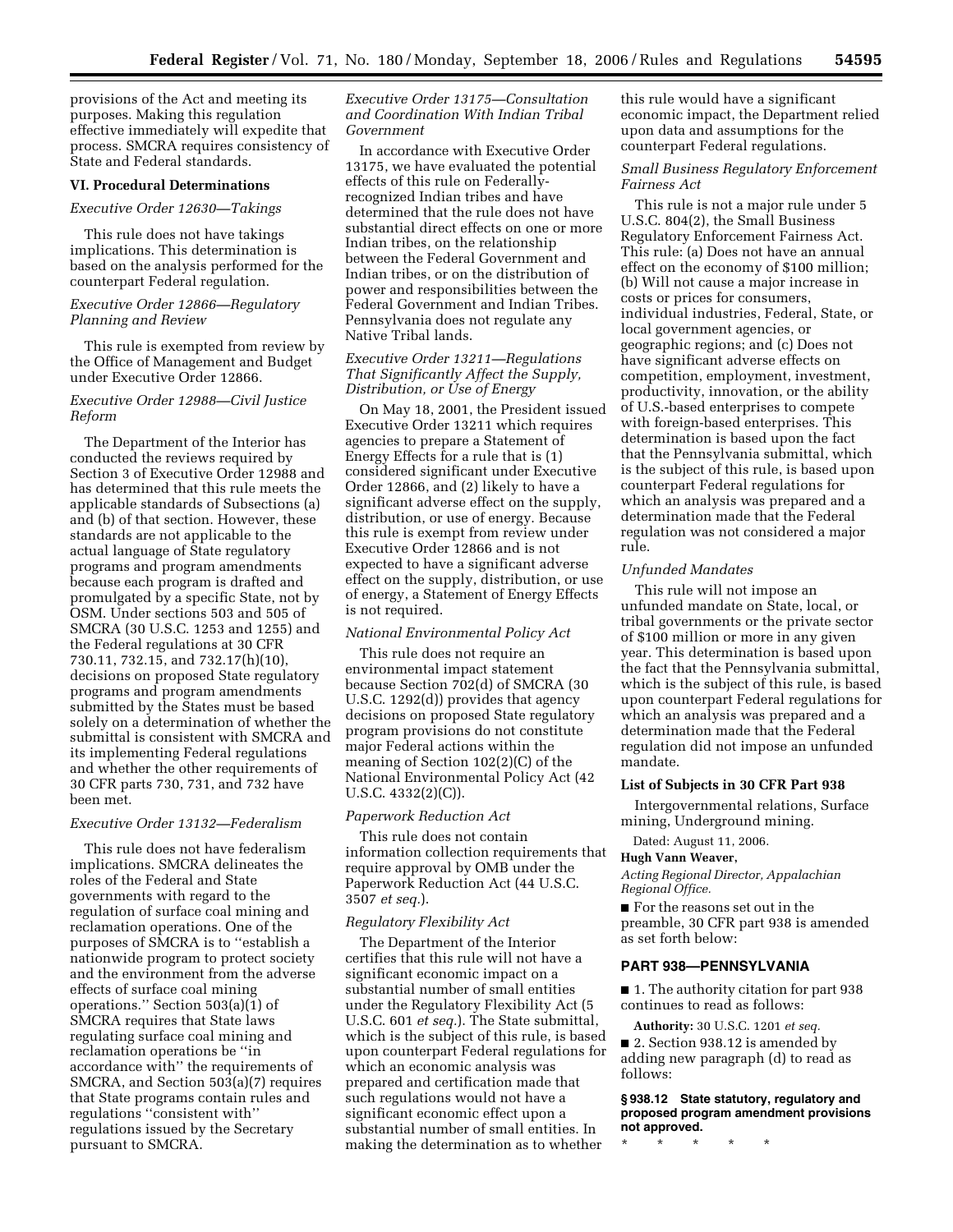provisions of the Act and meeting its purposes. Making this regulation effective immediately will expedite that process. SMCRA requires consistency of State and Federal standards.

#### **VI. Procedural Determinations**

#### *Executive Order 12630—Takings*

This rule does not have takings implications. This determination is based on the analysis performed for the counterpart Federal regulation.

### *Executive Order 12866—Regulatory Planning and Review*

This rule is exempted from review by the Office of Management and Budget under Executive Order 12866.

### *Executive Order 12988—Civil Justice Reform*

The Department of the Interior has conducted the reviews required by Section 3 of Executive Order 12988 and has determined that this rule meets the applicable standards of Subsections (a) and (b) of that section. However, these standards are not applicable to the actual language of State regulatory programs and program amendments because each program is drafted and promulgated by a specific State, not by OSM. Under sections 503 and 505 of SMCRA (30 U.S.C. 1253 and 1255) and the Federal regulations at 30 CFR 730.11, 732.15, and 732.17(h)(10), decisions on proposed State regulatory programs and program amendments submitted by the States must be based solely on a determination of whether the submittal is consistent with SMCRA and its implementing Federal regulations and whether the other requirements of 30 CFR parts 730, 731, and 732 have been met.

#### *Executive Order 13132—Federalism*

This rule does not have federalism implications. SMCRA delineates the roles of the Federal and State governments with regard to the regulation of surface coal mining and reclamation operations. One of the purposes of SMCRA is to ''establish a nationwide program to protect society and the environment from the adverse effects of surface coal mining operations.'' Section 503(a)(1) of SMCRA requires that State laws regulating surface coal mining and reclamation operations be ''in accordance with'' the requirements of SMCRA, and Section 503(a)(7) requires that State programs contain rules and regulations ''consistent with'' regulations issued by the Secretary pursuant to SMCRA.

## *Executive Order 13175—Consultation and Coordination With Indian Tribal Government*

In accordance with Executive Order 13175, we have evaluated the potential effects of this rule on Federallyrecognized Indian tribes and have determined that the rule does not have substantial direct effects on one or more Indian tribes, on the relationship between the Federal Government and Indian tribes, or on the distribution of power and responsibilities between the Federal Government and Indian Tribes. Pennsylvania does not regulate any Native Tribal lands.

# *Executive Order 13211—Regulations That Significantly Affect the Supply, Distribution, or Use of Energy*

On May 18, 2001, the President issued Executive Order 13211 which requires agencies to prepare a Statement of Energy Effects for a rule that is (1) considered significant under Executive Order 12866, and (2) likely to have a significant adverse effect on the supply, distribution, or use of energy. Because this rule is exempt from review under Executive Order 12866 and is not expected to have a significant adverse effect on the supply, distribution, or use of energy, a Statement of Energy Effects is not required.

### *National Environmental Policy Act*

This rule does not require an environmental impact statement because Section 702(d) of SMCRA (30 U.S.C. 1292(d)) provides that agency decisions on proposed State regulatory program provisions do not constitute major Federal actions within the meaning of Section 102(2)(C) of the National Environmental Policy Act (42 U.S.C. 4332(2)(C)).

#### *Paperwork Reduction Act*

This rule does not contain information collection requirements that require approval by OMB under the Paperwork Reduction Act (44 U.S.C. 3507 *et seq.*).

### *Regulatory Flexibility Act*

The Department of the Interior certifies that this rule will not have a significant economic impact on a substantial number of small entities under the Regulatory Flexibility Act (5 U.S.C. 601 *et seq.*). The State submittal, which is the subject of this rule, is based upon counterpart Federal regulations for which an economic analysis was prepared and certification made that such regulations would not have a significant economic effect upon a substantial number of small entities. In making the determination as to whether

this rule would have a significant economic impact, the Department relied upon data and assumptions for the counterpart Federal regulations.

# *Small Business Regulatory Enforcement Fairness Act*

This rule is not a major rule under 5 U.S.C. 804(2), the Small Business Regulatory Enforcement Fairness Act. This rule: (a) Does not have an annual effect on the economy of \$100 million; (b) Will not cause a major increase in costs or prices for consumers, individual industries, Federal, State, or local government agencies, or geographic regions; and (c) Does not have significant adverse effects on competition, employment, investment, productivity, innovation, or the ability of U.S.-based enterprises to compete with foreign-based enterprises. This determination is based upon the fact that the Pennsylvania submittal, which is the subject of this rule, is based upon counterpart Federal regulations for which an analysis was prepared and a determination made that the Federal regulation was not considered a major rule.

### *Unfunded Mandates*

This rule will not impose an unfunded mandate on State, local, or tribal governments or the private sector of \$100 million or more in any given year. This determination is based upon the fact that the Pennsylvania submittal, which is the subject of this rule, is based upon counterpart Federal regulations for which an analysis was prepared and a determination made that the Federal regulation did not impose an unfunded mandate.

### **List of Subjects in 30 CFR Part 938**

Intergovernmental relations, Surface mining, Underground mining.

Dated: August 11, 2006.

#### **Hugh Vann Weaver,**

*Acting Regional Director, Appalachian Regional Office.* 

■ For the reasons set out in the preamble, 30 CFR part 938 is amended as set forth below:

## **PART 938—PENNSYLVANIA**

■ 1. The authority citation for part 938 continues to read as follows:

**Authority:** 30 U.S.C. 1201 *et seq.*  ■ 2. Section 938.12 is amended by adding new paragraph (d) to read as follows:

**§ 938.12 State statutory, regulatory and proposed program amendment provisions not approved.** 

\* \* \* \* \*